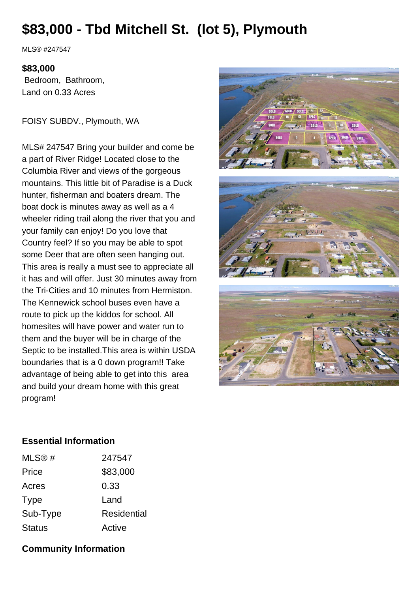## **\$83,000 - Tbd Mitchell St. (lot 5), Plymouth**

MLS® #247547

## **\$83,000**

 Bedroom, Bathroom, Land on 0.33 Acres

FOISY SUBDV., Plymouth, WA

MLS# 247547 Bring your builder and come be a part of River Ridge! Located close to the Columbia River and views of the gorgeous mountains. This little bit of Paradise is a Duck hunter, fisherman and boaters dream. The boat dock is minutes away as well as a 4 wheeler riding trail along the river that you and your family can enjoy! Do you love that Country feel? If so you may be able to spot some Deer that are often seen hanging out. This area is really a must see to appreciate all it has and will offer. Just 30 minutes away from the Tri-Cities and 10 minutes from Hermiston. The Kennewick school buses even have a route to pick up the kiddos for school. All homesites will have power and water run to them and the buyer will be in charge of the Septic to be installed.This area is within USDA boundaries that is a 0 down program!! Take advantage of being able to get into this area and build your dream home with this great program!



## **Essential Information**

| MLS® #        | 247547             |
|---------------|--------------------|
| Price         | \$83,000           |
| Acres         | 0.33               |
| Type          | Land               |
| Sub-Type      | <b>Residential</b> |
| <b>Status</b> | Active             |

## **Community Information**